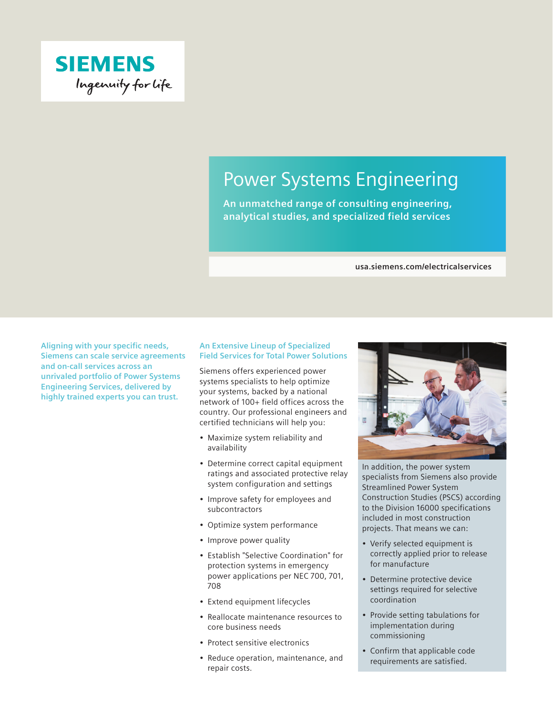

# Power Systems Engineering

**An unmatched range of consulting engineering, analytical studies, and specialized field services**

#### **usa.siemens.com/electricalservices**

**Aligning with your specific needs, Siemens can scale service agreements and on-call services across an unrivaled portfolio of Power Systems Engineering Services, delivered by highly trained experts you can trust.**

## **An Extensive Lineup of Specialized Field Services for Total Power Solutions**

Siemens offers experienced power systems specialists to help optimize your systems, backed by a national network of 100+ field offices across the country. Our professional engineers and certified technicians will help you:

- Maximize system reliability and availability
- Determine correct capital equipment ratings and associated protective relay system configuration and settings
- Improve safety for employees and subcontractors
- Optimize system performance
- Improve power quality
- Establish "Selective Coordination" for protection systems in emergency power applications per NEC 700, 701, 708
- Extend equipment lifecycles
- Reallocate maintenance resources to core business needs
- Protect sensitive electronics
- Reduce operation, maintenance, and repair costs.



In addition, the power system specialists from Siemens also provide Streamlined Power System Construction Studies (PSCS) according to the Division 16000 specifications included in most construction projects. That means we can:

- Verify selected equipment is correctly applied prior to release for manufacture
- Determine protective device settings required for selective coordination
- Provide setting tabulations for implementation during commissioning
- Confirm that applicable code requirements are satisfied.